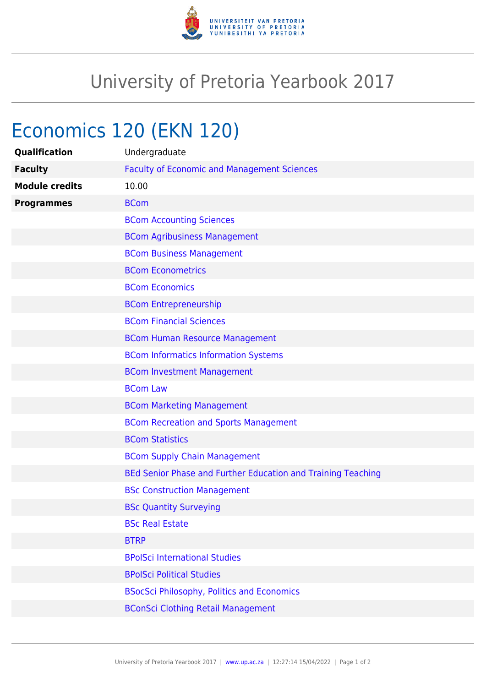

## University of Pretoria Yearbook 2017

## Economics 120 (EKN 120)

| Qualification         | Undergraduate                                                |
|-----------------------|--------------------------------------------------------------|
| <b>Faculty</b>        | <b>Faculty of Economic and Management Sciences</b>           |
| <b>Module credits</b> | 10.00                                                        |
| <b>Programmes</b>     | <b>BCom</b>                                                  |
|                       | <b>BCom Accounting Sciences</b>                              |
|                       | <b>BCom Agribusiness Management</b>                          |
|                       | <b>BCom Business Management</b>                              |
|                       | <b>BCom Econometrics</b>                                     |
|                       | <b>BCom Economics</b>                                        |
|                       | <b>BCom Entrepreneurship</b>                                 |
|                       | <b>BCom Financial Sciences</b>                               |
|                       | <b>BCom Human Resource Management</b>                        |
|                       | <b>BCom Informatics Information Systems</b>                  |
|                       | <b>BCom Investment Management</b>                            |
|                       | <b>BCom Law</b>                                              |
|                       | <b>BCom Marketing Management</b>                             |
|                       | <b>BCom Recreation and Sports Management</b>                 |
|                       | <b>BCom Statistics</b>                                       |
|                       | <b>BCom Supply Chain Management</b>                          |
|                       | BEd Senior Phase and Further Education and Training Teaching |
|                       | <b>BSc Construction Management</b>                           |
|                       | <b>BSc Quantity Surveying</b>                                |
|                       | <b>BSc Real Estate</b>                                       |
|                       | <b>BTRP</b>                                                  |
|                       | <b>BPolSci International Studies</b>                         |
|                       | <b>BPolSci Political Studies</b>                             |
|                       | <b>BSocSci Philosophy, Politics and Economics</b>            |
|                       | <b>BConSci Clothing Retail Management</b>                    |
|                       |                                                              |